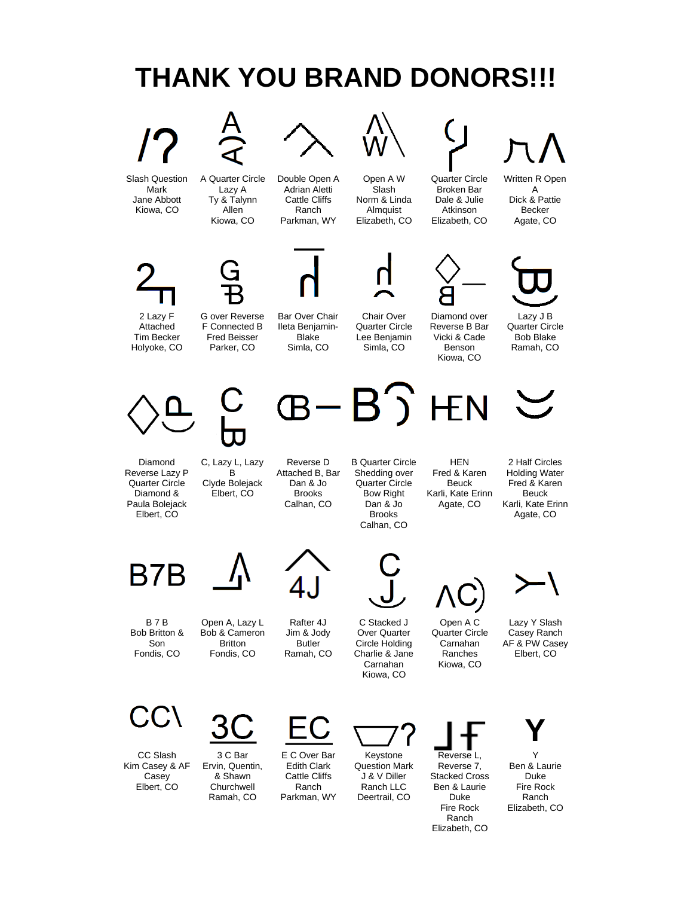

CC Slash Kim Casey & AF Casey Elbert, CO



E C Over Bar Edith Clark Cattle Cliffs Ranch Parkman, WY

Keystone Question Mark J & V Diller Ranch LLC Deertrail, CO

Reverse L, Reverse 7, Stacked Cross Ben & Laurie Duke Fire Rock Ranch Elizabeth, CO

**Y** Y

Ben & Laurie Duke Fire Rock Ranch Elizabeth, CO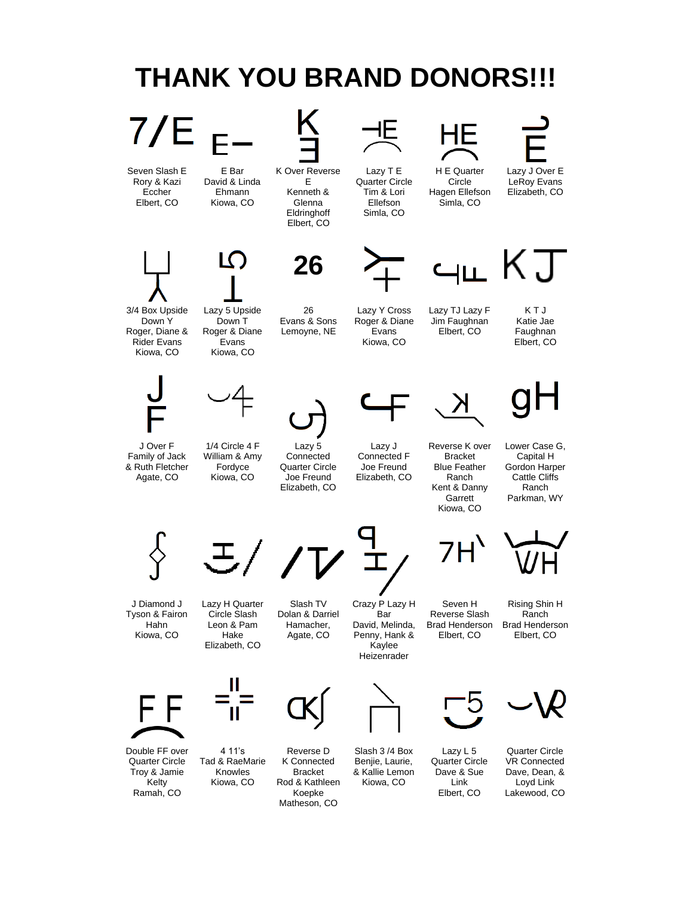

Koepke Matheson, CO

Ramah, CO

Loyd Link Lakewood, CO

Elbert, CO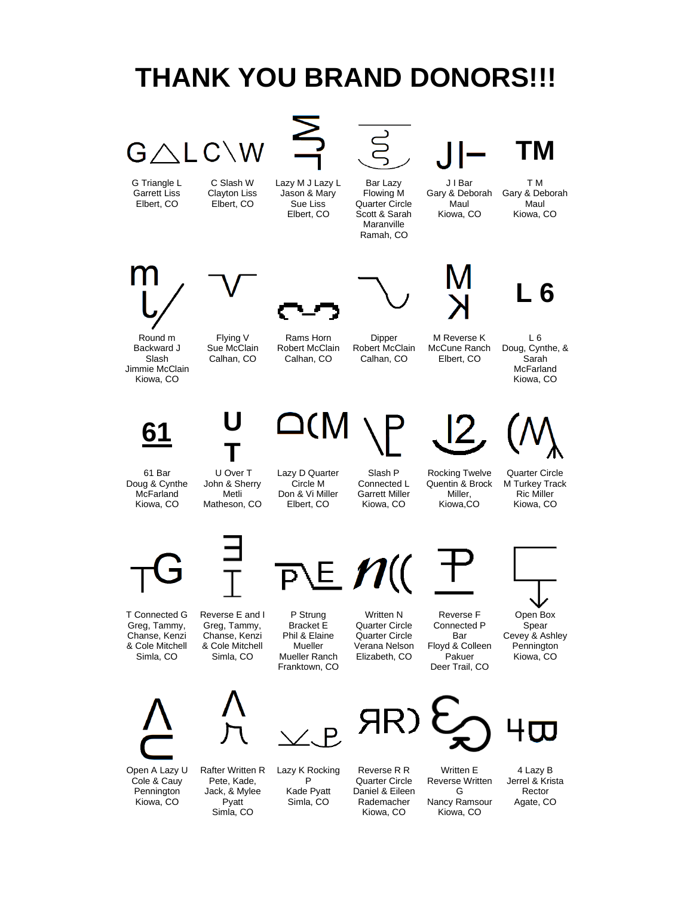# $G \wedge L C \backslash W$

G Triangle L Garrett Liss Elbert, CO

C Slash W Clayton Liss Elbert, CO

Lazy M J Lazy L Jason & Mary Sue Liss Elbert, CO

Bar Lazy Flowing M Quarter Circle Scott & Sarah Maranville Ramah, CO

#### J I Bar Gary & Deborah

Maul Kiowa, CO

T M Gary & Deborah Maul Kiowa, CO

**TM**









L 6 Doug, Cynthe, & Sarah McFarland

Round m Backward J Slash Jimmie McClain Kiowa, CO

Flying V Sue McClain Calhan, CO

**T**

Rams Horn Robert McClain Calhan, CO

Dipper Robert McClain Calhan, CO M Reverse K McCune Ranch Elbert, CO





61 Bar Doug & Cynthe **McFarland** 

**61 U**

Kiowa, CO U Over T John & Sherry Metli Matheson, CO



Slash P Connected L Garrett Miller Kiowa, CO

Rocking Twelve Quentin & Brock Miller, Kiowa,CO

Quarter Circle M Turkey Track Ric Miller

Kiowa, CO



T Connected G Greg, Tammy, Chanse, Kenzi & Cole Mitchell Simla, CO

Reverse E and I Greg, Tammy, Chanse, Kenzi & Cole Mitchell Simla, CO



P Strung Bracket E Phil & Elaine Mueller Mueller Ranch Franktown, CO

Written N Quarter Circle Quarter Circle Verana Nelson Elizabeth, CO



Reverse F Connected P Bar Floyd & Colleen Pakuer Deer Trail, CO



Open Box Spear Cevey & Ashley Pennington Kiowa, CO





**Pyatt** 



Open A Lazy U Cole & Cauy **Pennington** Kiowa, CO

Rafter Written R Pete, Kade, Jack, & Mylee Simla, CO Lazy K Rocking P Kade Pyatt Simla, CO

Reverse R R Quarter Circle Daniel & Eileen Rademacher Kiowa, CO



Written E Reverse Written G Nancy Ramsour Kiowa, CO



Agate, CO

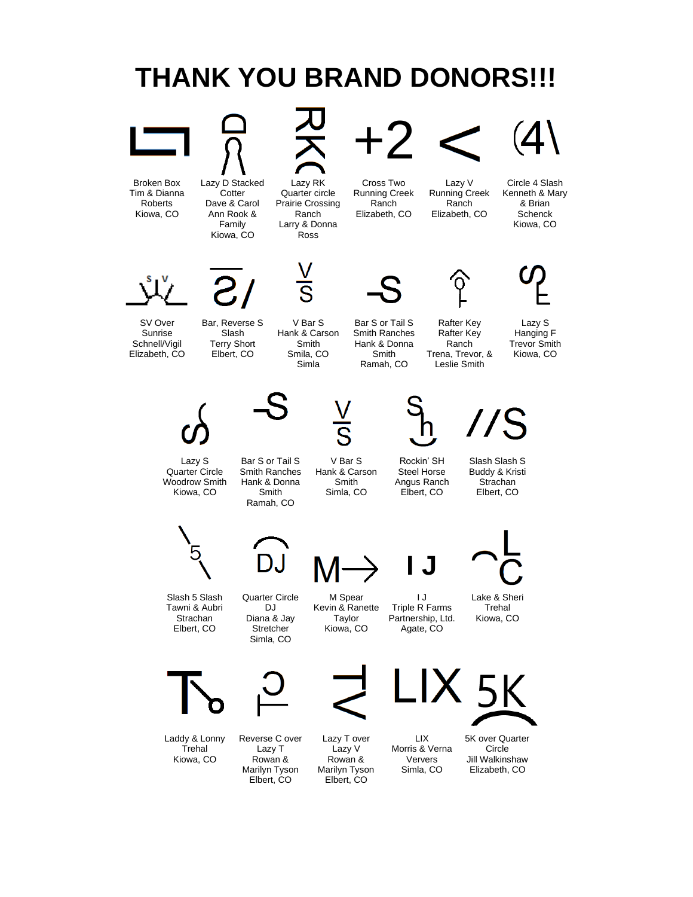

Laddy & Lonny Trehal Kiowa, CO

Reverse C over

Lazy T Rowan & Marilyn Tyson Elbert, CO

Lazy T over Lazy V Rowan & Marilyn Tyson Elbert, CO

LIX Morris & Verna Ververs Simla, CO

5K over Quarter Circle Jill Walkinshaw

Elizabeth, CO